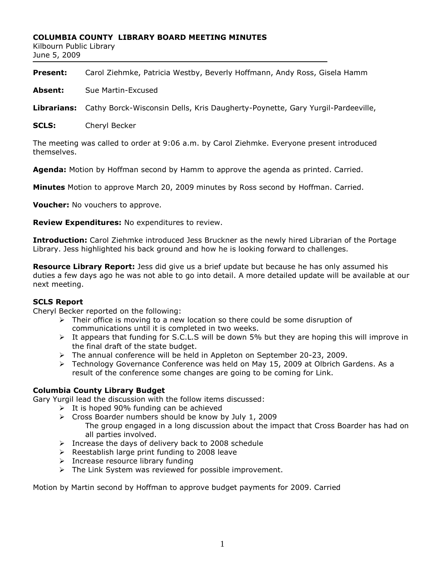#### **COLUMBIA COUNTY LIBRARY BOARD MEETING MINUTES**

Kilbourn Public Library June 5, 2009

| <b>Present:</b> |  | Carol Ziehmke, Patricia Westby, Beverly Hoffmann, Andy Ross, Gisela Hamm |  |
|-----------------|--|--------------------------------------------------------------------------|--|
|                 |  |                                                                          |  |

**Absent:** Sue Martin-Excused

**Librarians:** Cathy Borck-Wisconsin Dells, Kris Daugherty-Poynette, Gary Yurgil-Pardeeville,

**SCLS:** Cheryl Becker

The meeting was called to order at 9:06 a.m. by Carol Ziehmke. Everyone present introduced themselves.

**Agenda:** Motion by Hoffman second by Hamm to approve the agenda as printed. Carried.

**Minutes** Motion to approve March 20, 2009 minutes by Ross second by Hoffman. Carried.

**Voucher:** No vouchers to approve.

**Review Expenditures:** No expenditures to review.

**Introduction:** Carol Ziehmke introduced Jess Bruckner as the newly hired Librarian of the Portage Library. Jess highlighted his back ground and how he is looking forward to challenges.

**Resource Library Report:** Jess did give us a brief update but because he has only assumed his duties a few days ago he was not able to go into detail. A more detailed update will be available at our next meeting.

### **SCLS Report**

Cheryl Becker reported on the following:

- $\triangleright$  Their office is moving to a new location so there could be some disruption of communications until it is completed in two weeks.
- $\triangleright$  It appears that funding for S.C.L.S will be down 5% but they are hoping this will improve in the final draft of the state budget.
- $\triangleright$  The annual conference will be held in Appleton on September 20-23, 2009.
- $\triangleright$  Technology Governance Conference was held on May 15, 2009 at Olbrich Gardens. As a result of the conference some changes are going to be coming for Link.

### **Columbia County Library Budget**

Gary Yurgil lead the discussion with the follow items discussed:

- $\triangleright$  It is hoped 90% funding can be achieved
- Cross Boarder numbers should be know by July 1, 2009 The group engaged in a long discussion about the impact that Cross Boarder has had on all parties involved.
- $\triangleright$  Increase the days of delivery back to 2008 schedule
- $\triangleright$  Reestablish large print funding to 2008 leave
- $\triangleright$  Increase resource library funding
- $\triangleright$  The Link System was reviewed for possible improvement.

Motion by Martin second by Hoffman to approve budget payments for 2009. Carried